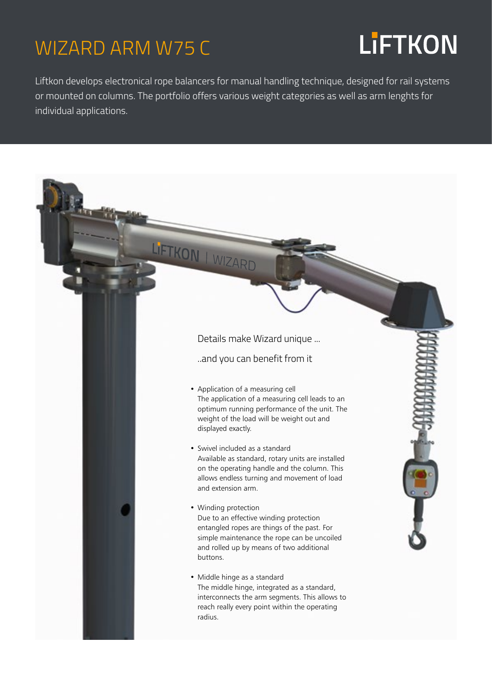### WIZARD ARM W75 C

## **LiFTKON**

Liftkon develops electronical rope balancers for manual handling technique, designed for rail systems or mounted on columns. The portfolio offers various weight categories as well as arm lenghts for individual applications.

#### LIFTKON | WIZARD Details make Wizard unique ... ..and you can benefit from it • Application of a measuring cell The application of a measuring cell leads to an optimum running performance of the unit. The weight of the load will be weight out and displayed exactly. • Swivel included as a standard Available as standard, rotary units are installed on the operating handle and the column. This allows endless turning and movement of load and extension arm. • Winding protection Due to an effective winding protection entangled ropes are things of the past. For simple maintenance the rope can be uncoiled and rolled up by means of two additional buttons. • Middle hinge as a standard The middle hinge, integrated as a standard, interconnects the arm segments. This allows to reach really every point within the operating radius.